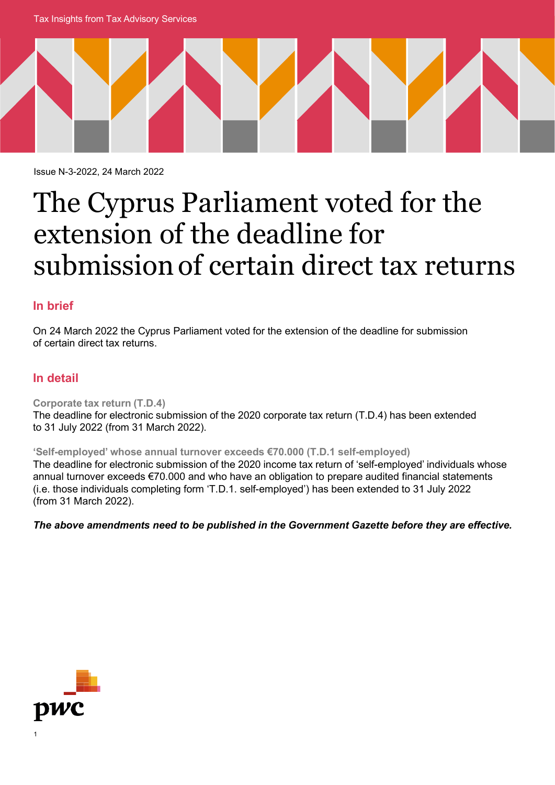Tax Insights from Tax Advisory Services



Issue N-3-2022, 24 March 2022

# The Cyprus Parliament voted for the extension of the deadline for submission of certain direct tax returns

## **In brief**

On 24 March 2022 the Cyprus Parliament voted for the extension of the deadline for submission of certain direct tax returns.

## **In detail**

**Corporate tax return (T.D.4)** The deadline for electronic submission of the 2020 corporate tax return (T.D.4) has been extended to 31 July 2022 (from 31 March 2022).

**'Self-employed' whose annual turnover exceeds €70.000 (T.D.1 self-employed)**

The deadline for electronic submission of the 2020 income tax return of 'self-employed' individuals whose annual turnover exceeds €70.000 and who have an obligation to prepare audited financial statements (i.e. those individuals completing form 'T.D.1. self-employed') has been extended to 31 July 2022 (from 31 March 2022).

*The above amendments need to be published in the Government Gazette before they are effective.*